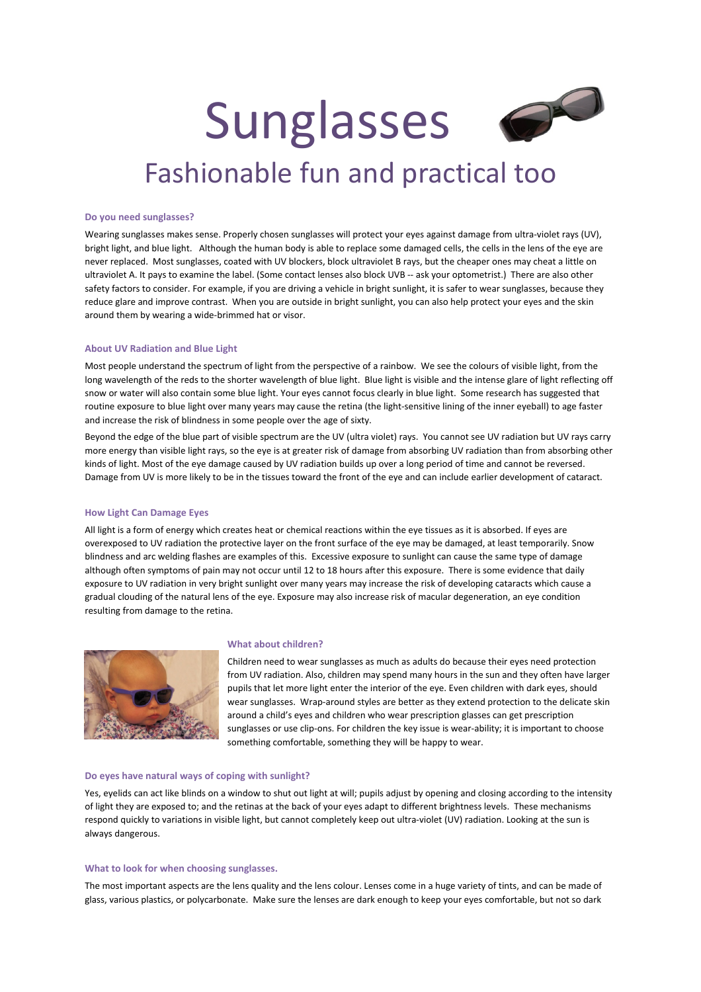

# Fashionable fun and practical too

#### **Do you need sunglasses?**

Wearing sunglasses makes sense. Properly chosen sunglasses will protect your eyes against damage from ultra‐violet rays (UV), bright light, and blue light. Although the human body is able to replace some damaged cells, the cells in the lens of the eye are never replaced. Most sunglasses, coated with UV blockers, block ultraviolet B rays, but the cheaper ones may cheat a little on ultraviolet A. It pays to examine the label. (Some contact lenses also block UVB -- ask your optometrist.) There are also other safety factors to consider. For example, if you are driving a vehicle in bright sunlight, it is safer to wear sunglasses, because they reduce glare and improve contrast. When you are outside in bright sunlight, you can also help protect your eyes and the skin around them by wearing a wide‐brimmed hat or visor.

#### **About UV Radiation and Blue Light**

Most people understand the spectrum of light from the perspective of a rainbow. We see the colours of visible light, from the long wavelength of the reds to the shorter wavelength of blue light. Blue light is visible and the intense glare of light reflecting off snow or water will also contain some blue light. Your eyes cannot focus clearly in blue light. Some research has suggested that routine exposure to blue light over many years may cause the retina (the light-sensitive lining of the inner eyeball) to age faster and increase the risk of blindness in some people over the age of sixty.

Beyond the edge of the blue part of visible spectrum are the UV (ultra violet) rays. You cannot see UV radiation but UV rays carry more energy than visible light rays, so the eye is at greater risk of damage from absorbing UV radiation than from absorbing other kinds of light. Most of the eye damage caused by UV radiation builds up over a long period of time and cannot be reversed. Damage from UV is more likely to be in the tissues toward the front of the eye and can include earlier development of cataract.

## **How Light Can Damage Eyes**

All light is a form of energy which creates heat or chemical reactions within the eye tissues as it is absorbed. If eyes are overexposed to UV radiation the protective layer on the front surface of the eye may be damaged, at least temporarily. Snow blindness and arc welding flashes are examples of this. Excessive exposure to sunlight can cause the same type of damage although often symptoms of pain may not occur until 12 to 18 hours after this exposure. There is some evidence that daily exposure to UV radiation in very bright sunlight over many years may increase the risk of developing cataracts which cause a gradual clouding of the natural lens of the eye. Exposure may also increase risk of macular degeneration, an eye condition resulting from damage to the retina.



#### **What about children?**

Children need to wear sunglasses as much as adults do because their eyes need protection from UV radiation. Also, children may spend many hours in the sun and they often have larger pupils that let more light enter the interior of the eye. Even children with dark eyes, should wear sunglasses. Wrap-around styles are better as they extend protection to the delicate skin around a child's eyes and children who wear prescription glasses can get prescription sunglasses or use clip-ons. For children the key issue is wear-ability; it is important to choose something comfortable, something they will be happy to wear.

## **Do eyes have natural ways of coping with sunlight?**

Yes, eyelids can act like blinds on a window to shut out light at will; pupils adjust by opening and closing according to the intensity of light they are exposed to; and the retinas at the back of your eyes adapt to different brightness levels. These mechanisms respond quickly to variations in visible light, but cannot completely keep out ultra‐violet (UV) radiation. Looking at the sun is always dangerous.

#### **What to look for when choosing sunglasses.**

The most important aspects are the lens quality and the lens colour. Lenses come in a huge variety of tints, and can be made of glass, various plastics, or polycarbonate. Make sure the lenses are dark enough to keep your eyes comfortable, but not so dark